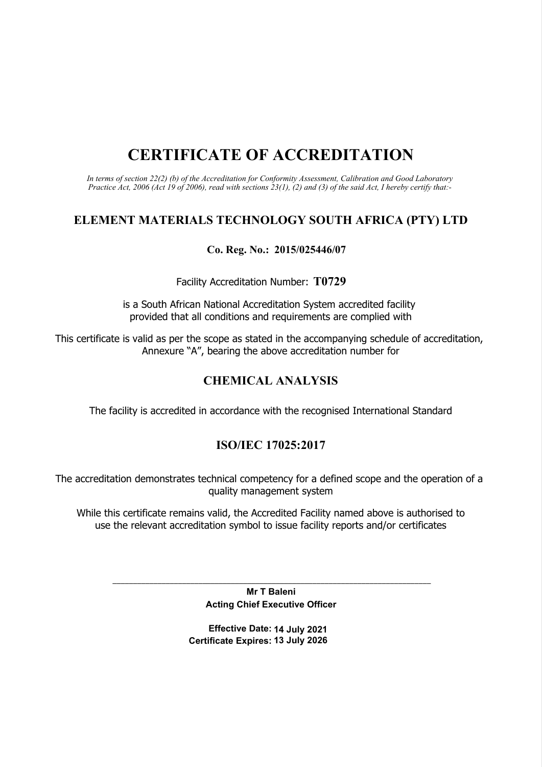# CERTIFICATE OF ACCREDITATION

In terms of section 22(2) (b) of the Accreditation for Conformity Assessment, Calibration and Good Laboratory Practice Act, 2006 (Act 19 of 2006), read with sections 23(1), (2) and (3) of the said Act, I hereby certify that:-

# ELEMENT MATERIALS TECHNOLOGY SOUTH AFRICA (PTY) LTD

# Co. Reg. No.: 2015/025446/07

Facility Accreditation Number: T0729

is a South African National Accreditation System accredited facility provided that all conditions and requirements are complied with

This certificate is valid as per the scope as stated in the accompanying schedule of accreditation, Annexure "A", bearing the above accreditation number for

# CHEMICAL ANALYSIS

The facility is accredited in accordance with the recognised International Standard

# ISO/IEC 17025:2017

The accreditation demonstrates technical competency for a defined scope and the operation of a quality management system

While this certificate remains valid, the Accredited Facility named above is authorised to use the relevant accreditation symbol to issue facility reports and/or certificates

\_\_\_\_\_\_\_\_\_\_\_\_\_\_\_\_\_\_\_\_\_\_\_\_\_\_\_\_\_\_\_\_\_\_\_\_\_\_\_\_\_\_\_\_\_\_\_\_\_\_\_\_\_\_\_\_\_\_\_\_\_\_\_\_\_\_\_\_\_\_\_\_\_\_\_\_\_\_ Mr T Baleni Acting Chief Executive Officer

> Effective Date: 14 July 2021 Certificate Expires: 13 July 2026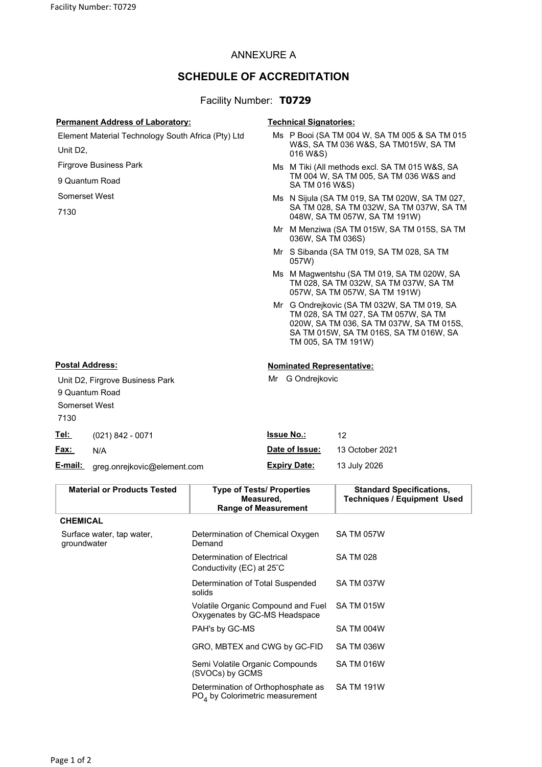## ANNEXURE A

# SCHEDULE OF ACCREDITATION

### Facility Number: T0729

#### Permanent Address of Laboratory: Technical Signatories:

Mr G Ondrejkovic

Element Material Technology South Africa (Pty) Ltd Unit D2,

Firgrove Business Park

9 Quantum Road

Somerset West

7130

#### Ms P Booi (SA TM 004 W, SA TM 005 & SA TM 015 W&S, SA TM 036 W&S, SA TM015W, SA TM 016 W&S)

- Ms M Tiki (All methods excl. SA TM 015 W&S, SA TM 004 W, SA TM 005, SA TM 036 W&S and SA TM 016 W&S)
- Ms N Sijula (SA TM 019, SA TM 020W, SA TM 027, SA TM 028, SA TM 032W, SA TM 037W, SA TM 048W, SA TM 057W, SA TM 191W)
- Mr M Menziwa (SA TM 015W, SA TM 015S, SA TM 036W, SA TM 036S)
- Mr S Sibanda (SA TM 019, SA TM 028, SA TM 057W)
- Ms M Magwentshu (SA TM 019, SA TM 020W, SA TM 028, SA TM 032W, SA TM 037W, SA TM 057W, SA TM 057W, SA TM 191W)
- Mr G Ondrejkovic (SA TM 032W, SA TM 019, SA TM 028, SA TM 027, SA TM 057W, SA TM 020W, SA TM 036, SA TM 037W, SA TM 015S, SA TM 015W, SA TM 016S, SA TM 016W, SA TM 005, SA TM 191W)

### Postal Address: Nominated Representative:

Unit D2, Firgrove Business Park 9 Quantum Road Somerset West 7130 Tel: (021) 842 0074 **Issue No.:** 12

| <u>iei.</u> | $(021) 842 - 0071$                  | סיו שטפכו.          |                 |
|-------------|-------------------------------------|---------------------|-----------------|
| <u>Fax:</u> | N/A                                 | Date of Issue:      | 13 October 2021 |
|             | E-mail: greg.onrejkovic@element.com | <b>Expiry Date:</b> | 13 July 2026    |

| <b>Material or Products Tested</b>       | <b>Type of Tests/ Properties</b><br>Measured,<br><b>Range of Measurement</b> | <b>Standard Specifications,</b><br><b>Techniques / Equipment Used</b> |
|------------------------------------------|------------------------------------------------------------------------------|-----------------------------------------------------------------------|
| <b>CHEMICAL</b>                          |                                                                              |                                                                       |
| Surface water, tap water,<br>groundwater | Determination of Chemical Oxygen<br>Demand                                   | <b>SA TM 057W</b>                                                     |
|                                          | Determination of Electrical<br>Conductivity (EC) at 25°C                     | <b>SA TM 028</b>                                                      |
|                                          | Determination of Total Suspended<br>solids                                   | SA TM 037W                                                            |
|                                          | Volatile Organic Compound and Fuel<br>Oxygenates by GC-MS Headspace          | <b>SA TM 015W</b>                                                     |
|                                          | PAH's by GC-MS                                                               | SA TM 004W                                                            |
|                                          | GRO, MBTEX and CWG by GC-FID                                                 | SA TM 036W                                                            |
|                                          | Semi Volatile Organic Compounds<br>(SVOCs) by GCMS                           | <b>SA TM 016W</b>                                                     |
|                                          | Determination of Orthophosphate as<br>$POA$ by Colorimetric measurement      | <b>SA TM 191W</b>                                                     |